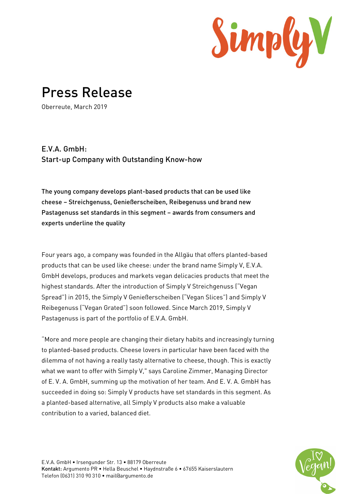

## Press Release

Oberreute, March 2019

## E.V.A. GmbH: Start-up Company with Outstanding Know-how

The young company develops plant-based products that can be used like cheese – Streichgenuss, Genießerscheiben, Reibegenuss und brand new Pastagenuss set standards in this segment – awards from consumers and experts underline the quality

Four years ago, a company was founded in the Allgäu that offers planted-based products that can be used like cheese: under the brand name Simply V, E.V.A. GmbH develops, produces and markets vegan delicacies products that meet the highest standards. After the introduction of Simply V Streichgenuss ("Vegan Spread") in 2015, the Simply V Genießerscheiben ("Vegan Slices") and Simply V Reibegenuss ("Vegan Grated") soon followed. Since March 2019, Simply V Pastagenuss is part of the portfolio of E.V.A. GmbH.

"More and more people are changing their dietary habits and increasingly turning to planted-based products. Cheese lovers in particular have been faced with the dilemma of not having a really tasty alternative to cheese, though. This is exactly what we want to offer with Simply V," says Caroline Zimmer, Managing Director of E. V. A. GmbH, summing up the motivation of her team. And E. V. A. GmbH has succeeded in doing so: Simply V products have set standards in this segment. As a planted-based alternative, all Simply V products also make a valuable contribution to a varied, balanced diet.